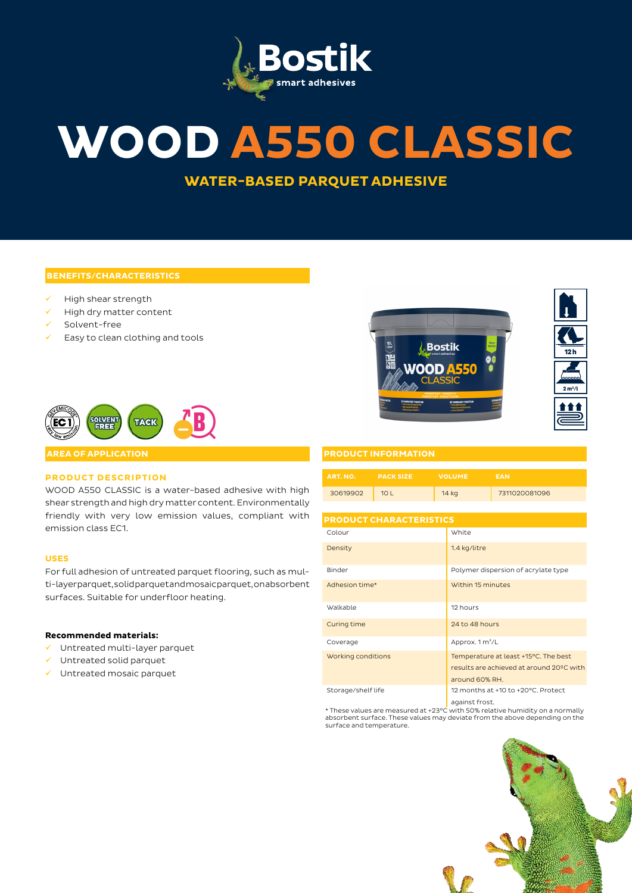

# **WOOD A550 CLASSIC**

**WATER-BASED PARQUET ADHESIVE**

#### **BENEFITS/CHARACTERISTICS**

- High shear strength
- $\checkmark$  High dry matter content
- $\checkmark$  Solvent-free
- Easy to clean clothing and tools







#### **PRODUCT INFORMATION**

| ART. NO. | <b>PACK SIZE</b> | <b>VOLUME</b> | <b>EAN</b>    |
|----------|------------------|---------------|---------------|
| 30619902 | 101              | 14 kg         | 7311020081096 |

## **PRODUCT CHARACTERISTICS**

| Colour             | White                                                                                              |  |
|--------------------|----------------------------------------------------------------------------------------------------|--|
| Density            | 1.4 kg/litre                                                                                       |  |
| Binder             | Polymer dispersion of acrylate type                                                                |  |
| Adhesion time*     | Within 15 minutes                                                                                  |  |
| Walkable           | 12 hours                                                                                           |  |
| Curing time        | 24 to 48 hours                                                                                     |  |
| Coverage           | Approx. 1 m <sup>2</sup> /L                                                                        |  |
| Working conditions | Temperature at least +15°C. The best<br>results are achieved at around 20°C with<br>around 60% RH. |  |
| Storage/shelf life | 12 months at +10 to +20°C. Protect<br>against frost                                                |  |

against frost. \* These values are measured at +23°C with 50% relative humidity on a normally absorbent surface. These values may deviate from the above depending on the surface and temperature.





#### **AREA OF APPLICATION**

### **PRODUCT DESCRIPTION**

WOOD A550 CLASSIC is a water-based adhesive with high shear strength and high dry matter content. Environmentally friendly with very low emission values, compliant with emission class EC1.

#### **USES**

For full adhesion of untreated parquet flooring, such as multi-layer parquet, solid parquet and mosaic parquet, on absorbent surfaces. Suitable for underfloor heating.

#### **Recommended materials:**

- $\checkmark$  Untreated multi-layer parquet
- $\checkmark$  Untreated solid parquet
- $\checkmark$  Untreated mosaic parquet